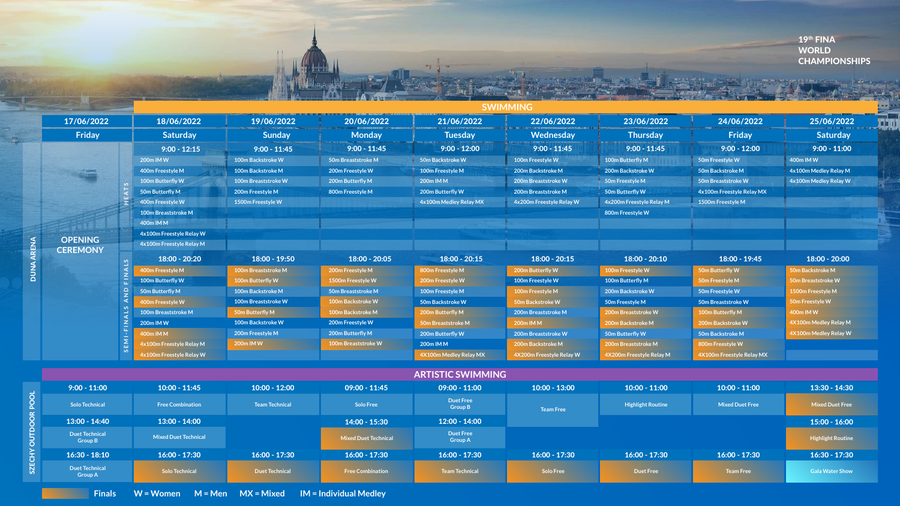### **SWIMMING**

SZECHY OUTDOOR POOL SZECHY OUTDO

## 19th FINA WORLD **CHAMPIONSHIPS**

13:00 - 14:40 **Duet Technical Group B** 16:30 - 18:10 **Duet Technical Group A** 13:00 - 14:00 **Mixed Duet Technical** 16:00 - 17:30 **Solo Technical** 16:00 - 17:30 **Duet Technical** 16:00 - 17:30 **Free Combination** 14:00 - 15:30  **Mixed Duet Technical** Finals W = Women M = Men MX = Mixed IM = Individual Medley

|  | 17/06/2022                        |            | 18/06/2022                 | 19/06/2022                 | 20/06/2022                | 21/06/2022                         | 22/06/2022               | 23/06/2022               | 24/06/2022                | 25/06/2022             |
|--|-----------------------------------|------------|----------------------------|----------------------------|---------------------------|------------------------------------|--------------------------|--------------------------|---------------------------|------------------------|
|  | Friday                            |            | <b>Saturday</b>            | <b>Sunday</b>              | <b>Monday</b>             | <b>Tuesday</b>                     | Wednesday                | <b>Thursday</b>          | Friday                    | <b>Saturday</b>        |
|  |                                   |            | $9:00 - 12:15$             | $9:00 - 11:45$             | $9:00 - 11:45$            | $9:00 - 12:00$                     | $9:00 - 11:45$           | $9:00 - 11:45$           | $9:00 - 12:00$            | $9:00 - 11:00$         |
|  |                                   |            | 200m IM W                  | <b>100m Backstroke W</b>   | 50m Breaststroke M        | 50m Backstroke W                   | 100m Freestyle W         | 100m Butterfly M         | 50m Freestyle W           | 400m IM W              |
|  |                                   |            | 400m Freestyle M           | 100m Backstroke M          | 200m Freestyle W          | 100m Freestyle M                   | 200m Backstroke M        | 200m Backstroke W        | 50m Backstroke M          | 4x100m Medley Relay M  |
|  |                                   |            | 100m Butterfly W           | <b>100m Breaststroke W</b> | 200m Butterfly M          | 200m IM M                          | 200m Breaststroke W      | 50m Freestyle M          | 50m Breaststroke W        | 4x100m Medley Relay W  |
|  |                                   |            | 50m Butterfly M            | 200m Freestyle M           | 800m Freestyle M          | 200m Butterfly W                   | 200m Breaststroke M      | 50m Butterfly W          | 4x100m Freestyle Relay MX |                        |
|  |                                   |            | 400m Freestyle W           | 1500m Freestyle W          |                           | 4x100m Medley Relay MX             | 4x200m Freestyle Relay W | 4x200m Freestyle Relay M | 1500m Freestyle M         |                        |
|  |                                   |            | <b>100m Breaststroke M</b> |                            |                           |                                    |                          | 800m Freestyle W         |                           |                        |
|  |                                   |            | 400m IM M                  |                            |                           |                                    |                          |                          |                           |                        |
|  |                                   |            | 4x100m Freestyle Relay W   |                            |                           |                                    |                          |                          |                           |                        |
|  | <b>OPENING</b><br><b>CEREMONY</b> |            | 4x100m Freestyle Relay M   |                            |                           |                                    |                          |                          |                           |                        |
|  |                                   |            | $18:00 - 20:20$            | 18:00 - 19:50              | $18:00 - 20:05$           | $18:00 - 20:15$                    | $18:00 - 20:15$          | $18:00 - 20:10$          | 18:00 - 19:45             | $18:00 - 20:00$        |
|  |                                   |            | 400m Freestyle M           | 100m Breaststroke M        | 200m Freestyle M          | 800m Freestyle M                   | 200m Butterfly W         | 100m Freestyle W         | 50m Butterfly W           | 50m Backstroke M       |
|  |                                   |            | 100m Butterfly W           | 100m Butterfly W           | 1500m Freestyle W         | 200m Freestyle W                   | 100m Freestyle W         | 100m Butterfly M         | 50m Freestyle M           | 50m Breaststroke W     |
|  |                                   |            | 50m Butterfly M            | 100m Backstroke M          | <b>50m Breaststroke M</b> | 100m Freestyle M                   | 100m Freestyle M         | 200m Backstroke W        | 50m Freestyle W           | 1500m Freestyle M      |
|  |                                   |            | 400m Freestyle W           | <b>100m Breaststroke W</b> | 100m Backstroke W         | 50m Backstroke W                   | 50m Backstroke W         | 50m Freestyle M          | 50m Breaststroke W        | 50m Freestyle W        |
|  |                                   |            | 100m Breaststroke M        | 50m Butterfly M            | <b>100m Backstroke M</b>  | 200m Butterfly M                   | 200m Breaststroke M      | 200m Breaststroke W      | 100m Butterfly M          | 400m IM W              |
|  |                                   |            | 200m IM W                  | 100m Backstroke W          | 200m Freestyle W          | <b>50m Breaststroke M</b>          | 200m IM M                | 200m Backstroke M        | 200m Backstroke W         | 4X100m Medley Relay M  |
|  |                                   |            | 400m IM M                  | 200m Freestyle M           | 200m Butterfly M          | 200m Butterfly W                   | 200m Breaststroke W      | 50m Butterfly W          | 50m Backstroke M          | 4X100m Medley Relay W  |
|  |                                   | $E$ M $I$  | 4x100m Freestyle Relay M   | 200m IM W                  | 100m Breaststroke W       | 200m IM M                          | 200m Backstroke M        | 200m Breaststroke M      | 800m Freestyle W          |                        |
|  |                                   | <u>_ က</u> | 4x100m Freestyle Relay W   |                            |                           | 4X100m Medley Relay MX             | 4X200m Freestyle Relay W | 4X200m Freestyle Relay M | 4X100m Freestyle Relay MX |                        |
|  |                                   |            |                            |                            |                           | <b>ARTISTIC SWIMMING</b>           |                          |                          |                           |                        |
|  | $9:00 - 11:00$                    |            | $10:00 - 11:45$            | $10:00 - 12:00$            | $09:00 - 11:45$           | $09:00 - 11:00$                    | $10:00 - 13:00$          | $10:00 - 11:00$          | $10:00 - 11:00$           | 13:30 - 14:30          |
|  | <b>Solo Technical</b>             |            | <b>Free Combination</b>    | <b>Team Technical</b>      | <b>Solo Free</b>          | <b>Duet Free</b><br><b>Group B</b> | <b>Team Free</b>         | <b>Highlight Routine</b> | <b>Mixed Duet Free</b>    | <b>Mixed Duet Free</b> |

| $09:00 - 11:00$                    | $10:00 - 13:00$  | $10:00 - 11:00$                                    | $10:00 - 11:00$  | $13:30 - 14:30$          |  |
|------------------------------------|------------------|----------------------------------------------------|------------------|--------------------------|--|
| <b>Duet Free</b><br><b>Group B</b> | <b>Team Free</b> | <b>Mixed Duet Free</b><br><b>Highlight Routine</b> |                  | <b>Mixed Duet Free</b>   |  |
| $12:00 - 14:00$                    |                  |                                                    |                  | $15:00 - 16:00$          |  |
| <b>Duet Free</b><br><b>Group A</b> |                  |                                                    |                  | <b>Highlight Routine</b> |  |
| $16:00 - 17:30$                    | $16:00 - 17:30$  | $16:00 - 17:30$                                    | $16:00 - 17:30$  | $16:30 - 17:30$          |  |
| <b>Team Technical</b>              | <b>Solo Free</b> | <b>Duet Free</b>                                   | <b>Team Free</b> | <b>Gala Water Show</b>   |  |

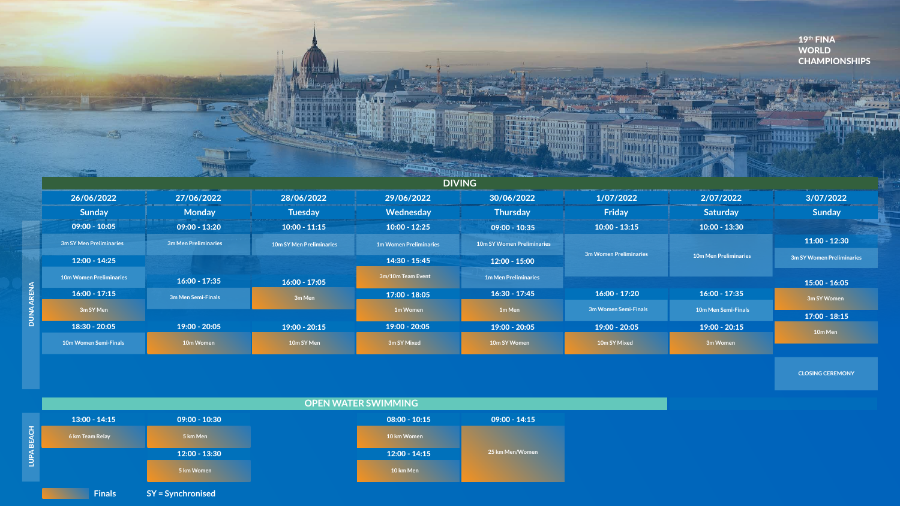| 19th FINA<br><b>WORLD</b><br><b>CHAMPIONS</b>     |                              |                        |                                                |                                      |                                 |                      |                                                   |
|---------------------------------------------------|------------------------------|------------------------|------------------------------------------------|--------------------------------------|---------------------------------|----------------------|---------------------------------------------------|
|                                                   |                              |                        | <b>DIVING</b>                                  |                                      |                                 |                      |                                                   |
| 3/07/2022                                         | 2/07/2022                    | 1/07/2022              | 30/06/2022                                     | 29/06/2022                           | 28/06/2022                      | 27/06/2022           | 26/06/2022                                        |
|                                                   |                              |                        |                                                |                                      | <b>Tuesday</b>                  | <b>Monday</b>        | Sunday                                            |
| Sunday                                            | Saturday                     | Friday                 | <b>Thursday</b>                                | Wednesday                            |                                 |                      |                                                   |
|                                                   | $10:00 - 13:30$              | $10:00 - 13:15$        | $09:00 - 10:35$                                | $10:00 - 12:25$                      | $10:00 - 11:15$                 | $09:00 - 13:20$      | $09:00 - 10:05$                                   |
| $11:00 - 12:30$                                   |                              |                        | <b>10m SY Women Preliminaries</b>              | <b>1m Women Preliminaries</b>        | <b>10m SY Men Preliminaries</b> | 3m Men Preliminaries | 3m SY Men Preliminaries                           |
| 3m SY Women Prelimin                              | <b>10m Men Preliminaries</b> | 3m Women Preliminaries |                                                |                                      |                                 |                      |                                                   |
|                                                   |                              |                        | $12:00 - 15:00$<br><b>1m Men Preliminaries</b> | $14:30 - 15:45$<br>3m/10m Team Event |                                 |                      | $12:00 - 14:25$<br><b>10m Women Preliminaries</b> |
|                                                   |                              |                        |                                                |                                      | $16:00 - 17:05$                 | $16:00 - 17:35$      |                                                   |
|                                                   | $16:00 - 17:35$              | $16:00 - 17:20$        | $16:30 - 17:45$                                | $17:00 - 18:05$                      | 3m Men                          | 3m Men Semi-Finals   | $16:00 - 17:15$                                   |
| $15:00 - 16:05$<br>3m SY Women<br>$17:00 - 18:15$ | 10m Men Semi-Finals          | 3m Women Semi-Finals   | 1m Men                                         | 1m Women                             |                                 |                      | 3m SY Men                                         |
| 10m Men                                           | $19:00 - 20:15$              | $19:00 - 20:05$        | $19:00 - 20:05$                                | $19:00 - 20:05$                      | $19:00 - 20:15$                 | $19:00 - 20:05$      | $18:30 - 20:05$                                   |

|                                | <b>RES</b>           |                                 |                               | <b>TELEVILLE</b>                  |                        |                              |                    |
|--------------------------------|----------------------|---------------------------------|-------------------------------|-----------------------------------|------------------------|------------------------------|--------------------|
|                                |                      |                                 |                               | <b>DIVING</b>                     |                        |                              |                    |
| 26/06/2022                     | 27/06/2022           | 28/06/2022                      | 29/06/2022                    | 30/06/2022                        | 1/07/2022              | 2/07/2022                    | 3/07/2022          |
| <b>Sunday</b>                  | <b>Monday</b>        | <b>Tuesday</b>                  | Wednesday                     | <b>Thursday</b>                   | Friday                 | <b>Saturday</b>              | <b>Sunday</b>      |
| $09:00 - 10:05$                | $09:00 - 13:20$      | $10:00 - 11:15$                 | $10:00 - 12:25$               | $09:00 - 10:35$                   | $10:00 - 13:15$        | $10:00 - 13:30$              |                    |
| 3m SY Men Preliminaries        | 3m Men Preliminaries | <b>10m SY Men Preliminaries</b> | <b>1m Women Preliminaries</b> | <b>10m SY Women Preliminaries</b> |                        |                              | $11:00 - 12:3$     |
| $12:00 - 14:25$                |                      |                                 | $14:30 - 15:45$               | $12:00 - 15:00$                   | 3m Women Preliminaries | <b>10m Men Preliminaries</b> | 3m SY Women Prelim |
| <b>10m Women Preliminaries</b> | $16:00 - 17:35$      | $16:00 - 17:05$                 | 3m/10m Team Event             | <b>1m Men Preliminaries</b>       |                        |                              | $15:00 - 16:0$     |
| $16:00 - 17:15$                | 3m Men Semi-Finals   | 3m Men                          | $17:00 - 18:05$               | $16:30 - 17:45$                   | $16:00 - 17:20$        | $16:00 - 17:35$              | 3m SY Women        |
| 3m SY Men                      |                      |                                 | <b>1m Women</b>               | 1m Men                            | 3m Women Semi-Finals   | <b>10m Men Semi-Finals</b>   | $17:00 - 18:1$     |
| $18:30 - 20:05$                | $19:00 - 20:05$      | $19:00 - 20:15$                 | $19:00 - 20:05$               | $19:00 - 20:05$                   | $19:00 - 20:05$        | $19:00 - 20:15$              | 10m Men            |
| <b>10m Women Semi-Finals</b>   | 10m Women            | 10m SY Men                      | 3m SY Mixed                   | 10m SY Women                      | 10m SY Mixed           | 3m Women                     |                    |
|                                |                      |                                 |                               |                                   |                        |                              |                    |





**CLOSING CEREMONY**

| J            |                 |
|--------------|-----------------|
| 10:15        | $09:00 - 14:15$ |
| nen          |                 |
| 14:15        | 25 km Men/Women |
| $\mathsf{m}$ |                 |
|              |                 |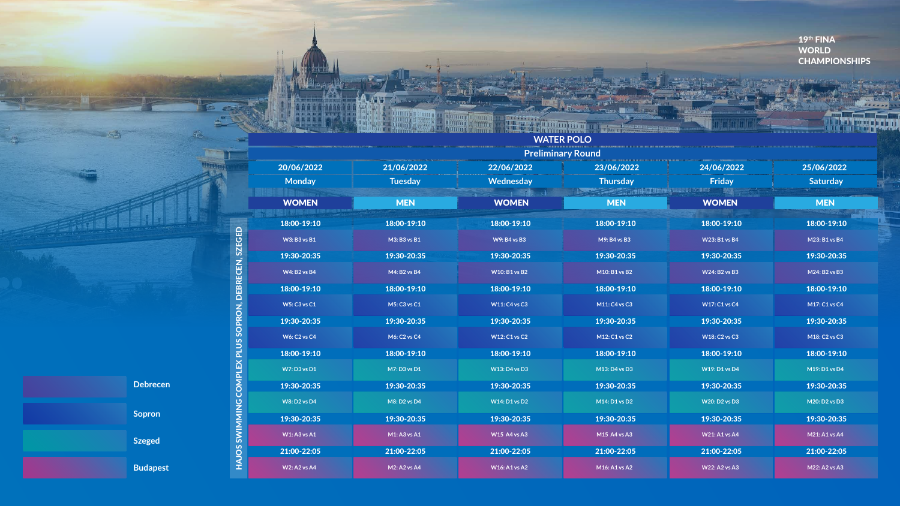**Preliminary Round**



## **WATER POLO**

**Rumm** 

ann i

|                     |                     |                      | <b>TEXTED THE PROPERTY</b> |                      |                      |
|---------------------|---------------------|----------------------|----------------------------|----------------------|----------------------|
| 20/06/2022          | 21/06/2022          | 22/06/2022           | 23/06/2022                 | 24/06/2022           | 25/06/2022           |
| <b>Monday</b>       | <b>Tuesday</b>      | <b>Wednesday</b>     | <b>Thursday</b>            | <b>Friday</b>        | <b>Saturday</b>      |
| <b>WOMEN</b>        | <b>MEN</b>          | <b>WOMEN</b>         | <b>MEN</b>                 | <b>WOMEN</b>         | <b>MEN</b>           |
| 18:00-19:10         | 18:00-19:10         | 18:00-19:10          | 18:00-19:10                | 18:00-19:10          | 18:00-19:10          |
| <b>W3: B3 vs B1</b> | M3: B3 vs B1        | <b>W9: B4 vs B3</b>  | M9: B4 vs B3               | <b>W23: B1 vs B4</b> | $M23: B1$ vs $B4$    |
| 19:30-20:35         | 19:30-20:35         | 19:30-20:35          | 19:30-20:35                | 19:30-20:35          | 19:30-20:35          |
| <b>W4: B2 vs B4</b> | M4: B2 vs B4        | <b>W10: B1 vs B2</b> | M10: B1 vs B2              | <b>W24: B2 vs B3</b> | M24: B2 vs B3        |
| 18:00-19:10         | 18:00-19:10         | 18:00-19:10          | 18:00-19:10                | 18:00-19:10          | 18:00-19:10          |
| <b>W5: C3 vs C1</b> | M5: C3 vs C1        | <b>W11: C4 vs C3</b> | M11: C4 vs C3              | <b>W17: C1 vs C4</b> | M17: C1 vs C4        |
| 19:30-20:35         | 19:30-20:35         | 19:30-20:35          | 19:30-20:35                | 19:30-20:35          | 19:30-20:35          |
| <b>W6: C2 vs C4</b> | <b>M6: C2 vs C4</b> | <b>W12: C1 vs C2</b> | M12: C1 vs C2              | <b>W18: C2 vs C3</b> | M18: C2 vs C3        |
| 18:00-19:10         | 18:00-19:10         | 18:00-19:10          | 18:00-19:10                | 18:00-19:10          | 18:00-19:10          |
| <b>W7: D3 vs D1</b> | M7: D3 vs D1        | <b>W13: D4 vs D3</b> | M13: D4 vs D3              | <b>W19: D1 vs D4</b> | M19: D1 vs D4        |
| 19:30-20:35         | 19:30-20:35         | 19:30-20:35          | 19:30-20:35                | 19:30-20:35          | 19:30-20:35          |
| <b>W8: D2 vs D4</b> | M8: D2 vs D4        | <b>W14: D1 vs D2</b> | M14: D1 vs D2              | <b>W20: D2 vs D3</b> | M20: D2 vs D3        |
| 19:30-20:35         | 19:30-20:35         | 19:30-20:35          | 19:30-20:35                | 19:30-20:35          | 19:30-20:35          |
| <b>W1: A3 vs A1</b> | $M1: A3$ vs $A1$    | <b>W15 A4 vs A3</b>  | M15 A4 vs A3               | <b>W21: A1 vs A4</b> | <b>M21: A1 vs A4</b> |
| 21:00-22:05         | 21:00-22:05         | 21:00-22:05          | 21:00-22:05                | 21:00-22:05          | 21:00-22:05          |
| <b>W2: A2 vs A4</b> | <b>M2: A2 vs A4</b> | <b>W16: A1 vs A2</b> | M16: A1 vs A2              | <b>W22: A2 vs A3</b> | M22: A2 vs A3        |
|                     |                     |                      |                            |                      |                      |

MING COMPLEX PLUS SOPRON, DEBRECEN, SZEGED HAJOS SWIMMING COMPLEX PLUS SOPRON, DEBRECEN, SZEGED HAJOS SWIM

 $S_{\pm}$ 

19th FINA WORLD CHAMPIONSHIPS